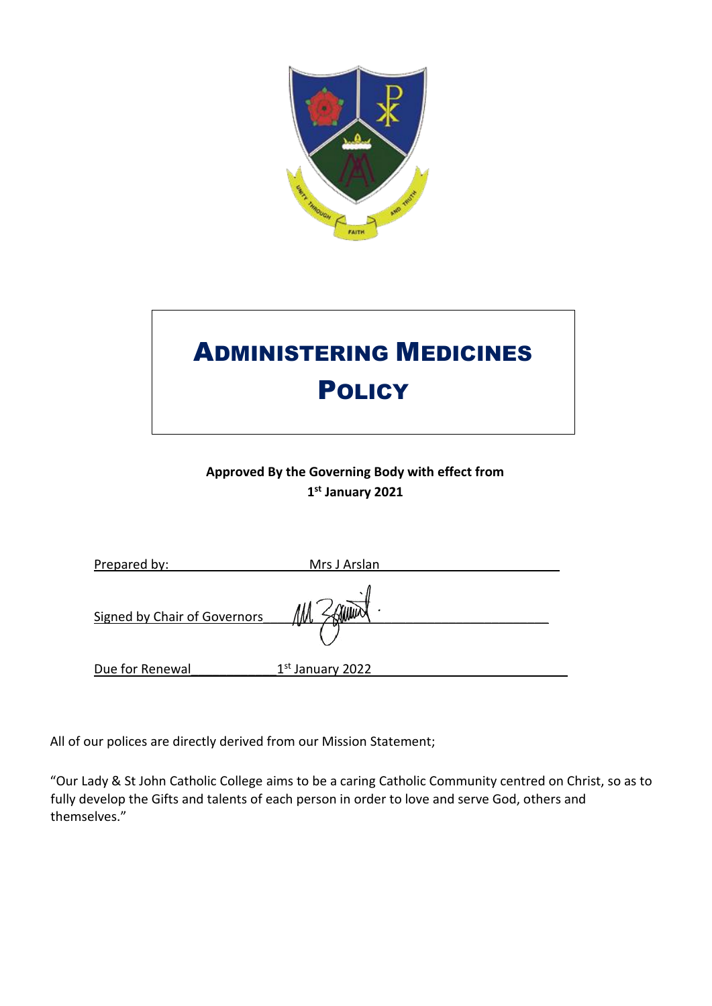

# ADMINISTERING MEDICINES **POLICY**

### **Approved By the Governing Body with effect from 1 st January 2021**

| Prepared by:                 | Mrs J Arslan       |  |
|------------------------------|--------------------|--|
| Signed by Chair of Governors |                    |  |
| Due for Renewal              | $1st$ January 2022 |  |

All of our polices are directly derived from our Mission Statement;

"Our Lady & St John Catholic College aims to be a caring Catholic Community centred on Christ, so as to fully develop the Gifts and talents of each person in order to love and serve God, others and themselves."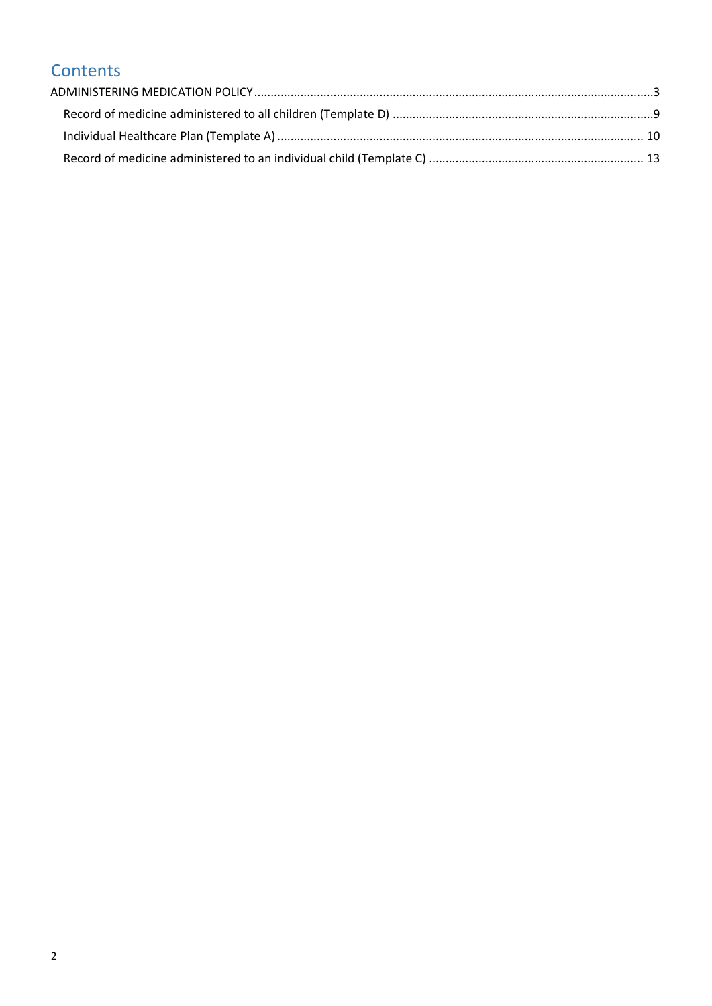## **Contents**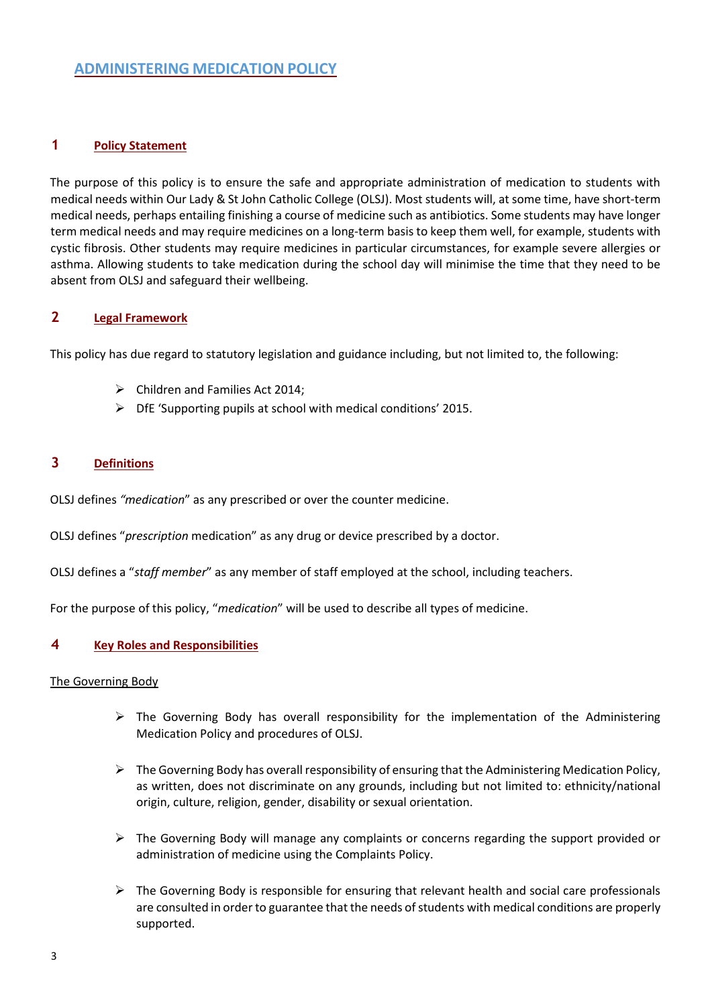#### <span id="page-2-0"></span>**1 Policy Statement**

The purpose of this policy is to ensure the safe and appropriate administration of medication to students with medical needs within Our Lady & St John Catholic College (OLSJ). Most students will, at some time, have short-term medical needs, perhaps entailing finishing a course of medicine such as antibiotics. Some students may have longer term medical needs and may require medicines on a long-term basis to keep them well, for example, students with cystic fibrosis. Other students may require medicines in particular circumstances, for example severe allergies or asthma. Allowing students to take medication during the school day will minimise the time that they need to be absent from OLSJ and safeguard their wellbeing.

#### **2 Legal Framework**

This policy has due regard to statutory legislation and guidance including, but not limited to, the following:

- ➢ Children and Families Act 2014;
- $\triangleright$  DfE 'Supporting pupils at school with medical conditions' 2015.

#### **3 Definitions**

OLSJ defines *"medication*" as any prescribed or over the counter medicine.

OLSJ defines "*prescription* medication" as any drug or device prescribed by a doctor.

OLSJ defines a "*staff member*" as any member of staff employed at the school, including teachers.

For the purpose of this policy, "*medication*" will be used to describe all types of medicine.

#### **4 Key Roles and Responsibilities**

#### The Governing Body

- $\triangleright$  The Governing Body has overall responsibility for the implementation of the Administering Medication Policy and procedures of OLSJ.
- $\triangleright$  The Governing Body has overall responsibility of ensuring that the Administering Medication Policy, as written, does not discriminate on any grounds, including but not limited to: ethnicity/national origin, culture, religion, gender, disability or sexual orientation.
- $\triangleright$  The Governing Body will manage any complaints or concerns regarding the support provided or administration of medicine using the Complaints Policy.
- $\triangleright$  The Governing Body is responsible for ensuring that relevant health and social care professionals are consulted in order to guarantee that the needs of students with medical conditions are properly supported.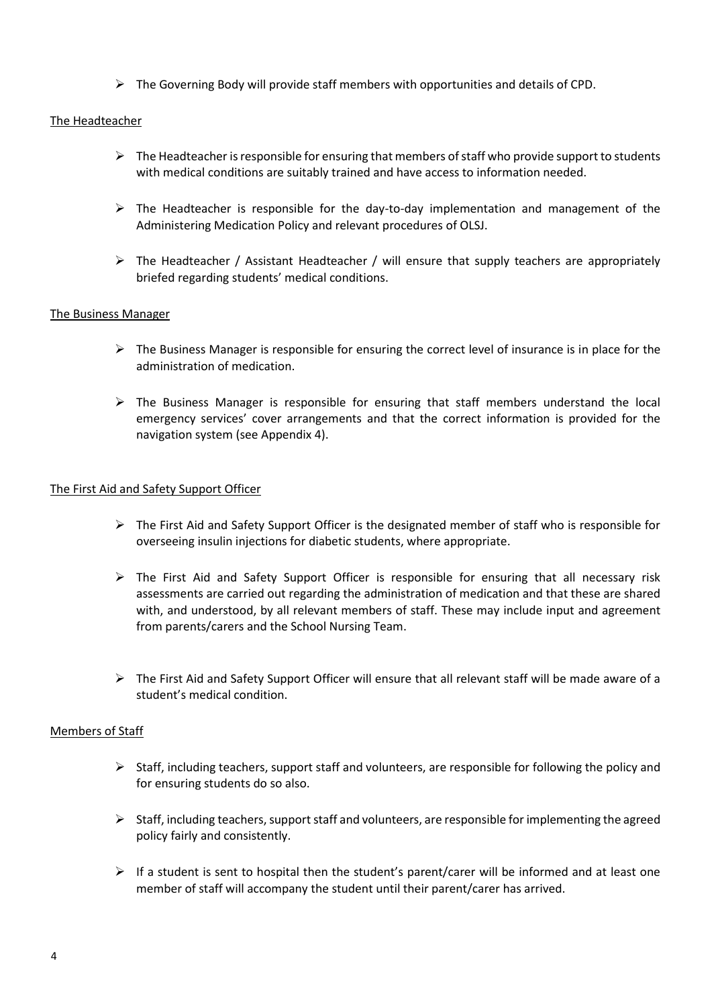$\triangleright$  The Governing Body will provide staff members with opportunities and details of CPD.

#### The Headteacher

- $\triangleright$  The Headteacher is responsible for ensuring that members of staff who provide support to students with medical conditions are suitably trained and have access to information needed.
- $\triangleright$  The Headteacher is responsible for the day-to-day implementation and management of the Administering Medication Policy and relevant procedures of OLSJ.
- $\triangleright$  The Headteacher / Assistant Headteacher / will ensure that supply teachers are appropriately briefed regarding students' medical conditions.

#### The Business Manager

- $\triangleright$  The Business Manager is responsible for ensuring the correct level of insurance is in place for the administration of medication.
- $\triangleright$  The Business Manager is responsible for ensuring that staff members understand the local emergency services' cover arrangements and that the correct information is provided for the navigation system (see Appendix 4).

#### The First Aid and Safety Support Officer

- ➢ The First Aid and Safety Support Officer is the designated member of staff who is responsible for overseeing insulin injections for diabetic students, where appropriate.
- ➢ The First Aid and Safety Support Officer is responsible for ensuring that all necessary risk assessments are carried out regarding the administration of medication and that these are shared with, and understood, by all relevant members of staff. These may include input and agreement from parents/carers and the School Nursing Team.
- $\triangleright$  The First Aid and Safety Support Officer will ensure that all relevant staff will be made aware of a student's medical condition.

#### Members of Staff

- $\triangleright$  Staff, including teachers, support staff and volunteers, are responsible for following the policy and for ensuring students do so also.
- $\triangleright$  Staff, including teachers, support staff and volunteers, are responsible for implementing the agreed policy fairly and consistently.
- $\triangleright$  If a student is sent to hospital then the student's parent/carer will be informed and at least one member of staff will accompany the student until their parent/carer has arrived.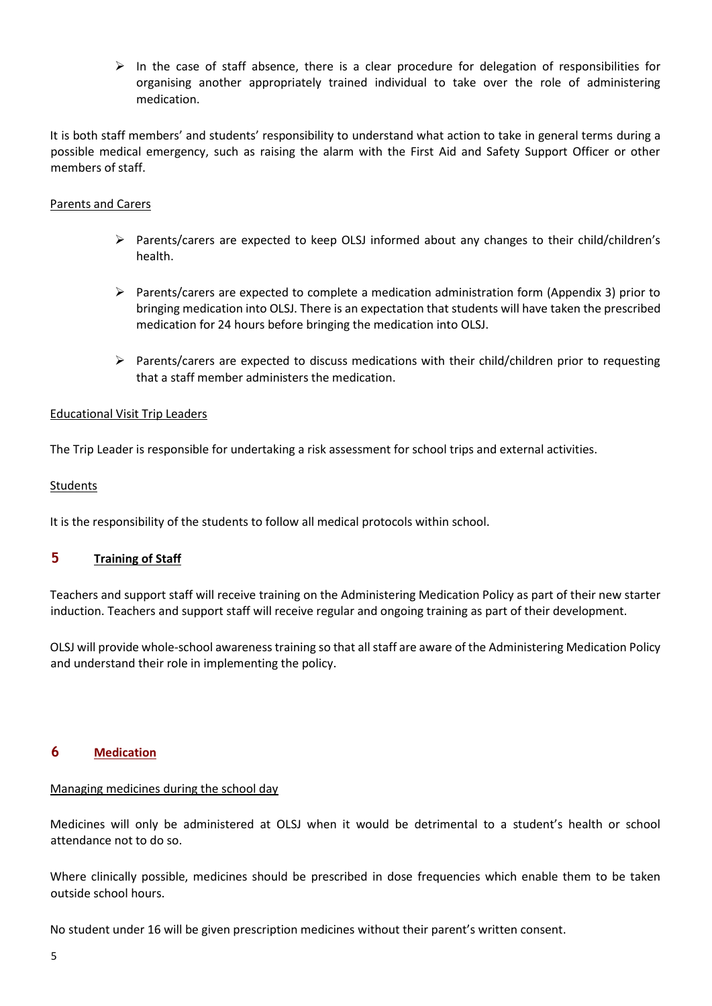$\triangleright$  In the case of staff absence, there is a clear procedure for delegation of responsibilities for organising another appropriately trained individual to take over the role of administering medication.

It is both staff members' and students' responsibility to understand what action to take in general terms during a possible medical emergency, such as raising the alarm with the First Aid and Safety Support Officer or other members of staff.

#### Parents and Carers

- ➢ Parents/carers are expected to keep OLSJ informed about any changes to their child/children's health.
- ➢ Parents/carers are expected to complete a medication administration form (Appendix 3) prior to bringing medication into OLSJ. There is an expectation that students will have taken the prescribed medication for 24 hours before bringing the medication into OLSJ.
- $\triangleright$  Parents/carers are expected to discuss medications with their child/children prior to requesting that a staff member administers the medication.

#### Educational Visit Trip Leaders

The Trip Leader is responsible for undertaking a risk assessment for school trips and external activities.

#### **Students**

It is the responsibility of the students to follow all medical protocols within school.

#### **5 Training of Staff**

Teachers and support staff will receive training on the Administering Medication Policy as part of their new starter induction. Teachers and support staff will receive regular and ongoing training as part of their development.

OLSJ will provide whole-school awareness training so that all staff are aware of the Administering Medication Policy and understand their role in implementing the policy.

#### **6 Medication**

#### Managing medicines during the school day

Medicines will only be administered at OLSJ when it would be detrimental to a student's health or school attendance not to do so.

Where clinically possible, medicines should be prescribed in dose frequencies which enable them to be taken outside school hours.

No student under 16 will be given prescription medicines without their parent's written consent.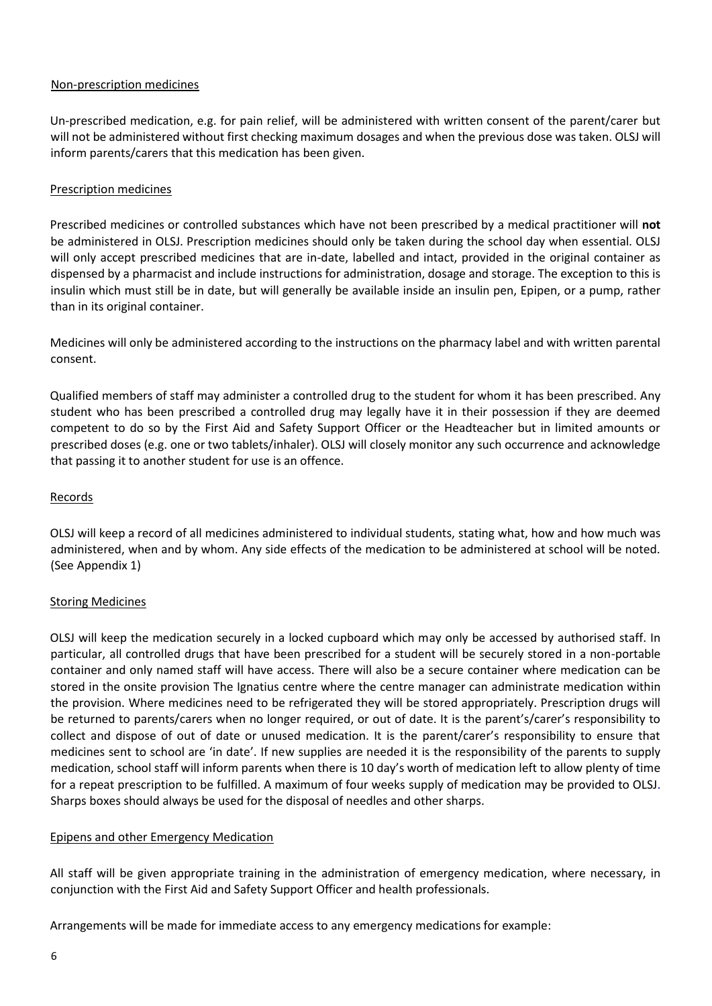#### Non-prescription medicines

Un-prescribed medication, e.g. for pain relief, will be administered with written consent of the parent/carer but will not be administered without first checking maximum dosages and when the previous dose was taken. OLSJ will inform parents/carers that this medication has been given.

#### Prescription medicines

Prescribed medicines or controlled substances which have not been prescribed by a medical practitioner will **not**  be administered in OLSJ. Prescription medicines should only be taken during the school day when essential. OLSJ will only accept prescribed medicines that are in-date, labelled and intact, provided in the original container as dispensed by a pharmacist and include instructions for administration, dosage and storage. The exception to this is insulin which must still be in date, but will generally be available inside an insulin pen, Epipen, or a pump, rather than in its original container.

Medicines will only be administered according to the instructions on the pharmacy label and with written parental consent.

Qualified members of staff may administer a controlled drug to the student for whom it has been prescribed. Any student who has been prescribed a controlled drug may legally have it in their possession if they are deemed competent to do so by the First Aid and Safety Support Officer or the Headteacher but in limited amounts or prescribed doses (e.g. one or two tablets/inhaler). OLSJ will closely monitor any such occurrence and acknowledge that passing it to another student for use is an offence.

#### Records

OLSJ will keep a record of all medicines administered to individual students, stating what, how and how much was administered, when and by whom. Any side effects of the medication to be administered at school will be noted. (See Appendix 1)

#### **Storing Medicines**

OLSJ will keep the medication securely in a locked cupboard which may only be accessed by authorised staff. In particular, all controlled drugs that have been prescribed for a student will be securely stored in a non-portable container and only named staff will have access. There will also be a secure container where medication can be stored in the onsite provision The Ignatius centre where the centre manager can administrate medication within the provision. Where medicines need to be refrigerated they will be stored appropriately. Prescription drugs will be returned to parents/carers when no longer required, or out of date. It is the parent's/carer's responsibility to collect and dispose of out of date or unused medication. It is the parent/carer's responsibility to ensure that medicines sent to school are 'in date'. If new supplies are needed it is the responsibility of the parents to supply medication, school staff will inform parents when there is 10 day's worth of medication left to allow plenty of time for a repeat prescription to be fulfilled. A maximum of four weeks supply of medication may be provided to OLSJ. Sharps boxes should always be used for the disposal of needles and other sharps.

#### Epipens and other Emergency Medication

All staff will be given appropriate training in the administration of emergency medication, where necessary, in conjunction with the First Aid and Safety Support Officer and health professionals.

Arrangements will be made for immediate access to any emergency medications for example: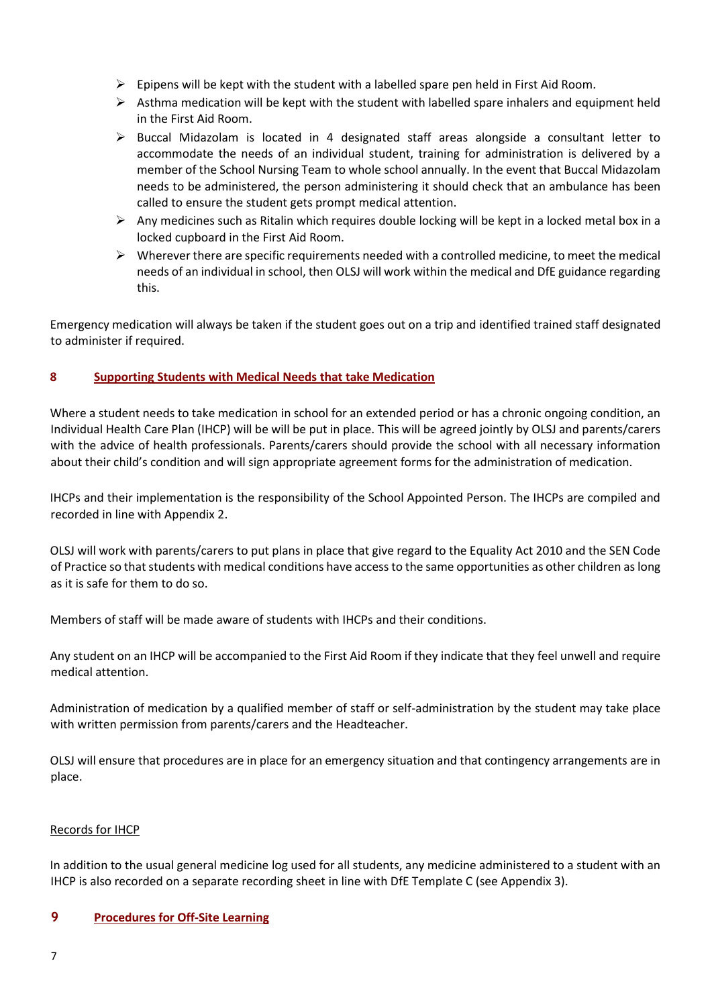- $\triangleright$  Epipens will be kept with the student with a labelled spare pen held in First Aid Room.
- $\triangleright$  Asthma medication will be kept with the student with labelled spare inhalers and equipment held in the First Aid Room.
- ➢ Buccal Midazolam is located in 4 designated staff areas alongside a consultant letter to accommodate the needs of an individual student, training for administration is delivered by a member of the School Nursing Team to whole school annually. In the event that Buccal Midazolam needs to be administered, the person administering it should check that an ambulance has been called to ensure the student gets prompt medical attention.
- $\triangleright$  Any medicines such as Ritalin which requires double locking will be kept in a locked metal box in a locked cupboard in the First Aid Room.
- $\triangleright$  Wherever there are specific requirements needed with a controlled medicine, to meet the medical needs of an individual in school, then OLSJ will work within the medical and DfE guidance regarding this.

Emergency medication will always be taken if the student goes out on a trip and identified trained staff designated to administer if required.

#### **8 Supporting Students with Medical Needs that take Medication**

Where a student needs to take medication in school for an extended period or has a chronic ongoing condition, an Individual Health Care Plan (IHCP) will be will be put in place. This will be agreed jointly by OLSJ and parents/carers with the advice of health professionals. Parents/carers should provide the school with all necessary information about their child's condition and will sign appropriate agreement forms for the administration of medication.

IHCPs and their implementation is the responsibility of the School Appointed Person. The IHCPs are compiled and recorded in line with Appendix 2.

OLSJ will work with parents/carers to put plans in place that give regard to the Equality Act 2010 and the SEN Code of Practice so that students with medical conditions have access to the same opportunities as other children as long as it is safe for them to do so.

Members of staff will be made aware of students with IHCPs and their conditions.

Any student on an IHCP will be accompanied to the First Aid Room if they indicate that they feel unwell and require medical attention.

Administration of medication by a qualified member of staff or self-administration by the student may take place with written permission from parents/carers and the Headteacher.

OLSJ will ensure that procedures are in place for an emergency situation and that contingency arrangements are in place.

#### Records for IHCP

In addition to the usual general medicine log used for all students, any medicine administered to a student with an IHCP is also recorded on a separate recording sheet in line with DfE Template C (see Appendix 3).

#### **9 Procedures for Off-Site Learning**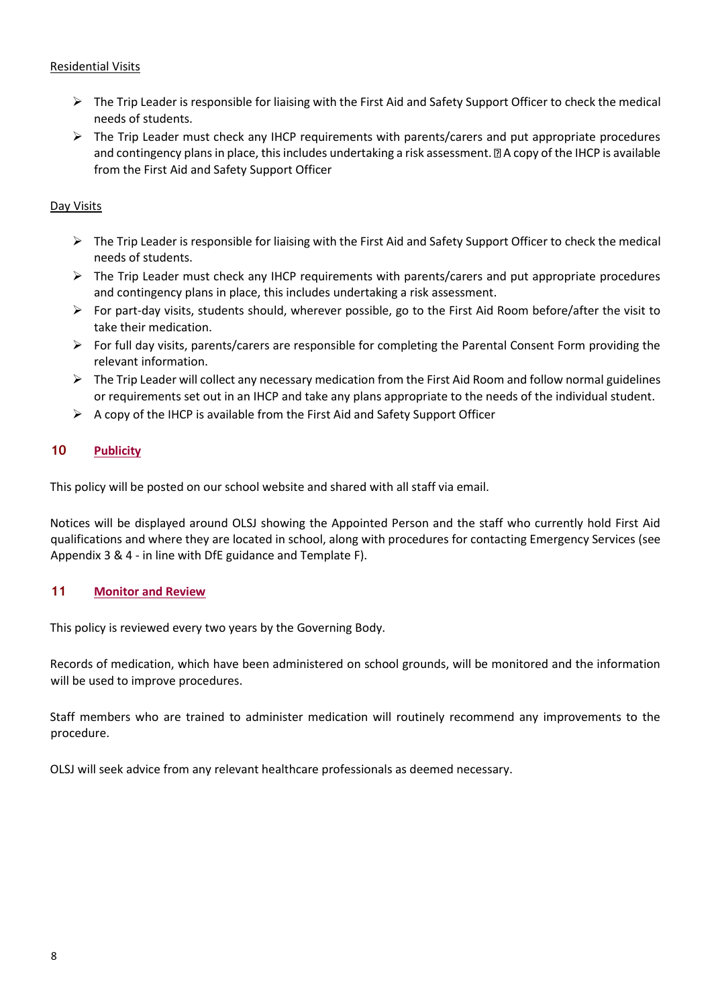#### Residential Visits

- ➢ The Trip Leader is responsible for liaising with the First Aid and Safety Support Officer to check the medical needs of students.
- $\triangleright$  The Trip Leader must check any IHCP requirements with parents/carers and put appropriate procedures and contingency plans in place, this includes undertaking a risk assessment. **If** A copy of the IHCP is available from the First Aid and Safety Support Officer

#### Day Visits

- $\triangleright$  The Trip Leader is responsible for liaising with the First Aid and Safety Support Officer to check the medical needs of students.
- ➢ The Trip Leader must check any IHCP requirements with parents/carers and put appropriate procedures and contingency plans in place, this includes undertaking a risk assessment.
- $\triangleright$  For part-day visits, students should, wherever possible, go to the First Aid Room before/after the visit to take their medication.
- $\triangleright$  For full day visits, parents/carers are responsible for completing the Parental Consent Form providing the relevant information.
- $\triangleright$  The Trip Leader will collect any necessary medication from the First Aid Room and follow normal guidelines or requirements set out in an IHCP and take any plans appropriate to the needs of the individual student.
- $\triangleright$  A copy of the IHCP is available from the First Aid and Safety Support Officer

#### **10 Publicity**

This policy will be posted on our school website and shared with all staff via email.

Notices will be displayed around OLSJ showing the Appointed Person and the staff who currently hold First Aid qualifications and where they are located in school, along with procedures for contacting Emergency Services (see Appendix 3 & 4 - in line with DfE guidance and Template F).

#### **11 Monitor and Review**

This policy is reviewed every two years by the Governing Body.

Records of medication, which have been administered on school grounds, will be monitored and the information will be used to improve procedures.

Staff members who are trained to administer medication will routinely recommend any improvements to the procedure.

OLSJ will seek advice from any relevant healthcare professionals as deemed necessary.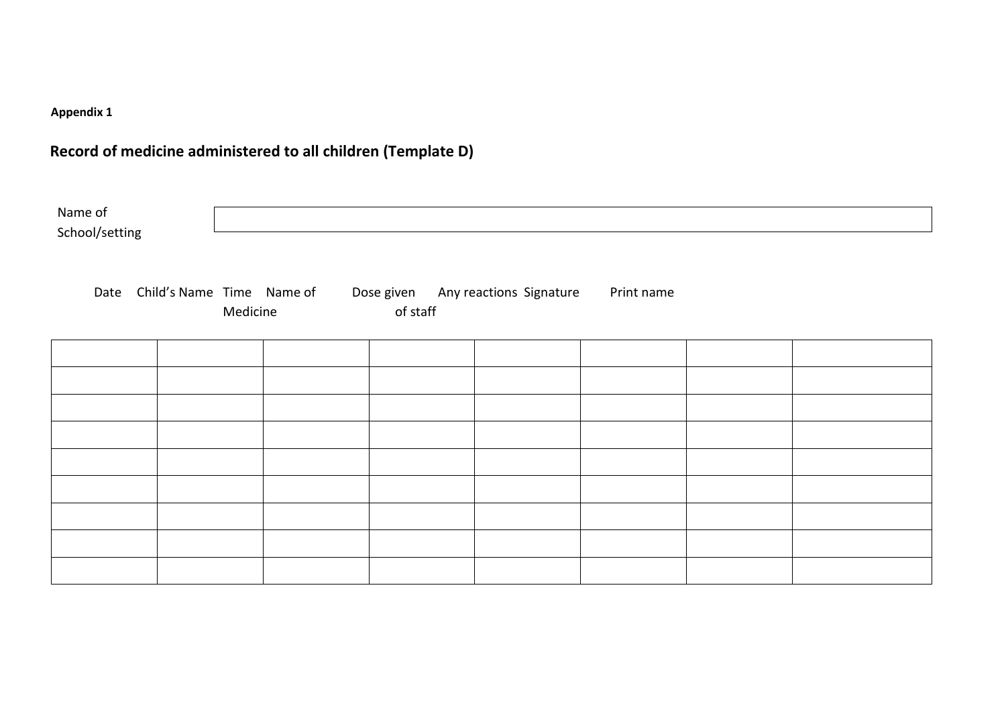## **Appendix 1**

## **Record of medicine administered to all children (Template D)**

<span id="page-8-0"></span>

| Name of<br>School/setting |                                |          |  |          |                                    |            |  |
|---------------------------|--------------------------------|----------|--|----------|------------------------------------|------------|--|
|                           | Date Child's Name Time Name of | Medicine |  | of staff | Dose given Any reactions Signature | Print name |  |
|                           |                                |          |  |          |                                    |            |  |
|                           |                                |          |  |          |                                    |            |  |
|                           |                                |          |  |          |                                    |            |  |
|                           |                                |          |  |          |                                    |            |  |
|                           |                                |          |  |          |                                    |            |  |
|                           |                                |          |  |          |                                    |            |  |
|                           |                                |          |  |          |                                    |            |  |
|                           |                                |          |  |          |                                    |            |  |
|                           |                                |          |  |          |                                    |            |  |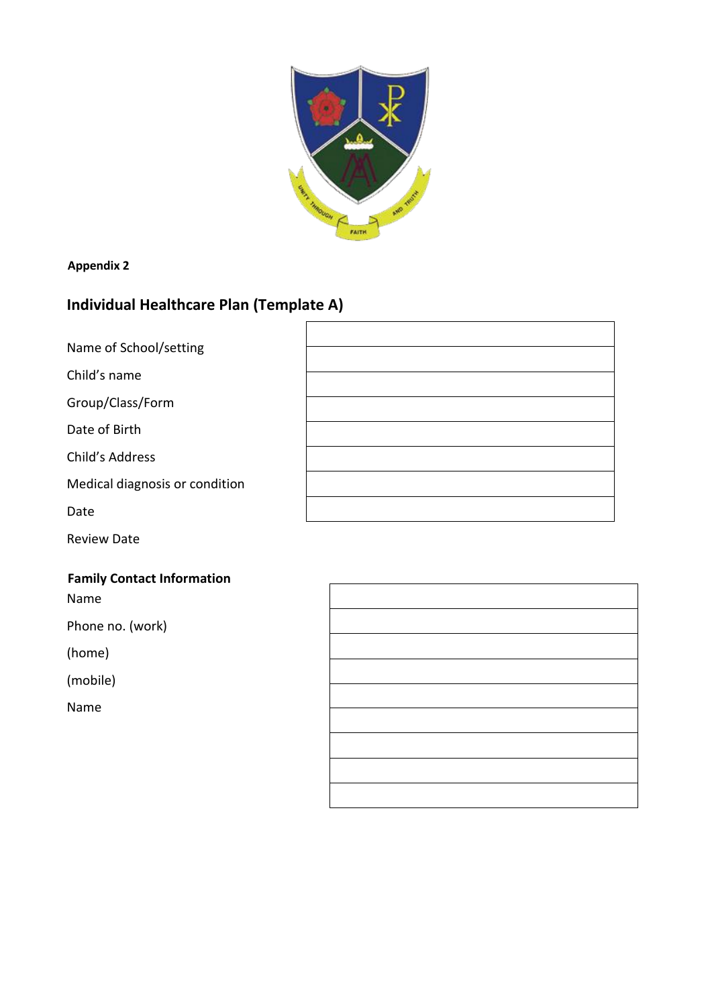

#### **Appendix 2**

## <span id="page-9-0"></span>**Individual Healthcare Plan (Template A)**

| Name of School/setting         |  |
|--------------------------------|--|
| Child's name                   |  |
| Group/Class/Form               |  |
| Date of Birth                  |  |
| Child's Address                |  |
| Medical diagnosis or condition |  |
| Date                           |  |

Review Date

## **Family Contact Information**

Name

Phone no. (work)

(home)

(mobile)

Name

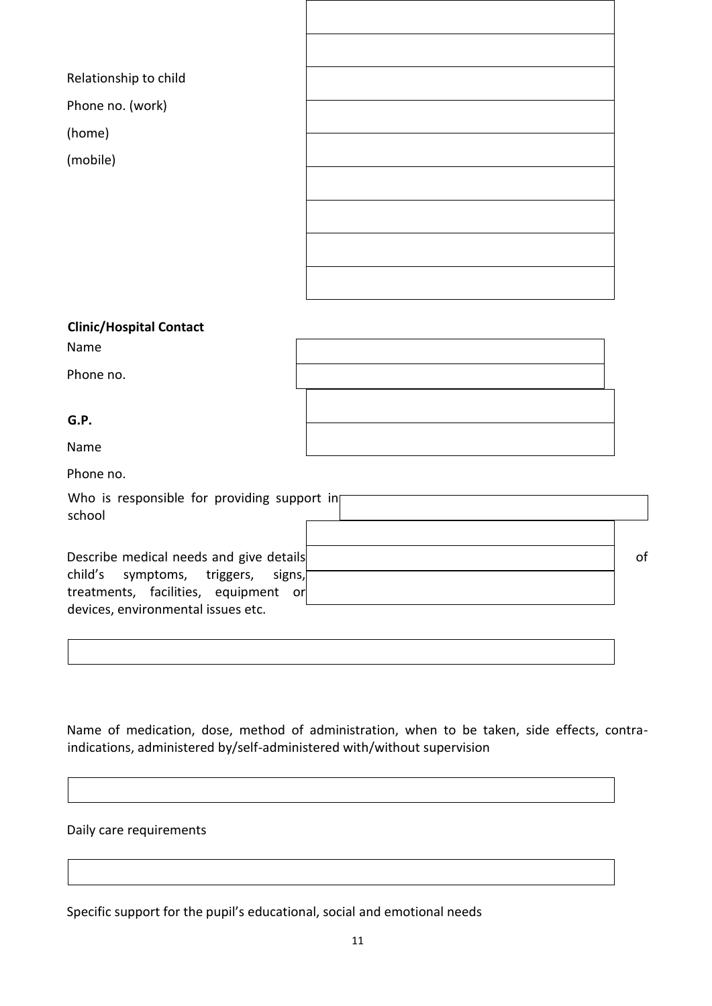| Relationship to child          |  |
|--------------------------------|--|
| Phone no. (work)               |  |
| (home)                         |  |
|                                |  |
| (mobile)                       |  |
|                                |  |
|                                |  |
|                                |  |
|                                |  |
|                                |  |
|                                |  |
|                                |  |
|                                |  |
| <b>Clinic/Hospital Contact</b> |  |

| Name      |  |
|-----------|--|
| Phone no. |  |
| G.P.      |  |
| Name      |  |

| Phone no. |  |
|-----------|--|
|-----------|--|

| Who is responsible for providing support in<br>school                      |    |
|----------------------------------------------------------------------------|----|
|                                                                            |    |
| Describe medical needs and give details                                    | 0f |
| child's symptoms, triggers, signs,<br>treatments, facilities, equipment or |    |
| devices, environmental issues etc.                                         |    |

Name of medication, dose, method of administration, when to be taken, side effects, contraindications, administered by/self-administered with/without supervision

#### Daily care requirements

Specific support for the pupil's educational, social and emotional needs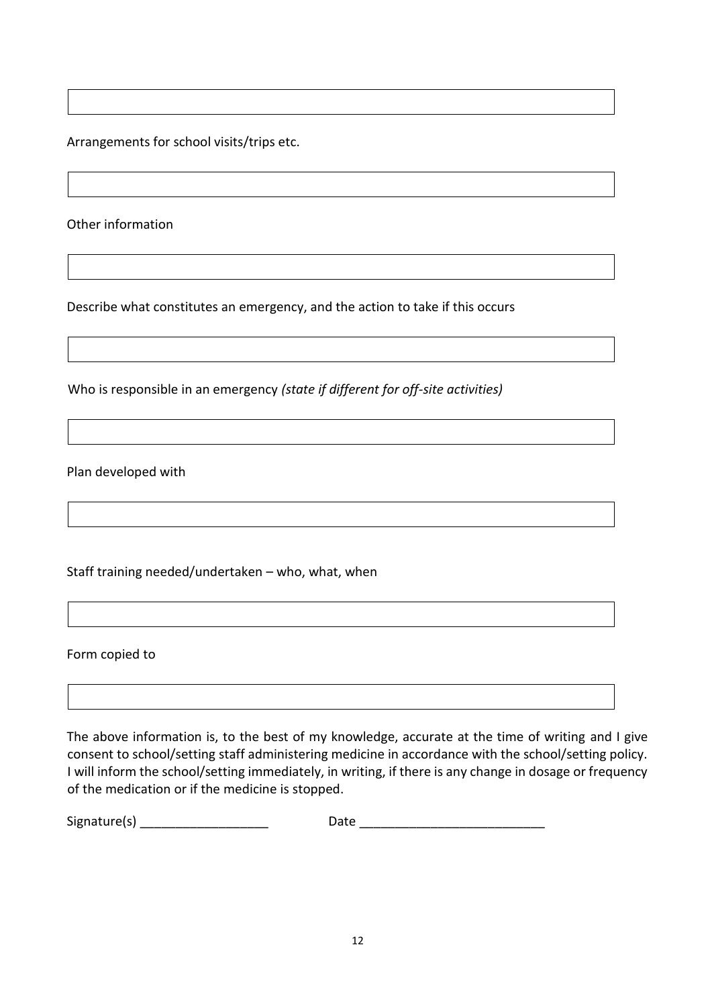Arrangements for school visits/trips etc.

Other information

Describe what constitutes an emergency, and the action to take if this occurs

Who is responsible in an emergency *(state if different for off-site activities)* 

Plan developed with

Staff training needed/undertaken – who, what, when

Form copied to

The above information is, to the best of my knowledge, accurate at the time of writing and I give consent to school/setting staff administering medicine in accordance with the school/setting policy. I will inform the school/setting immediately, in writing, if there is any change in dosage or frequency of the medication or if the medicine is stopped.

Signature(s) \_\_\_\_\_\_\_\_\_\_\_\_\_\_\_\_\_\_ Date \_\_\_\_\_\_\_\_\_\_\_\_\_\_\_\_\_\_\_\_\_\_\_\_\_\_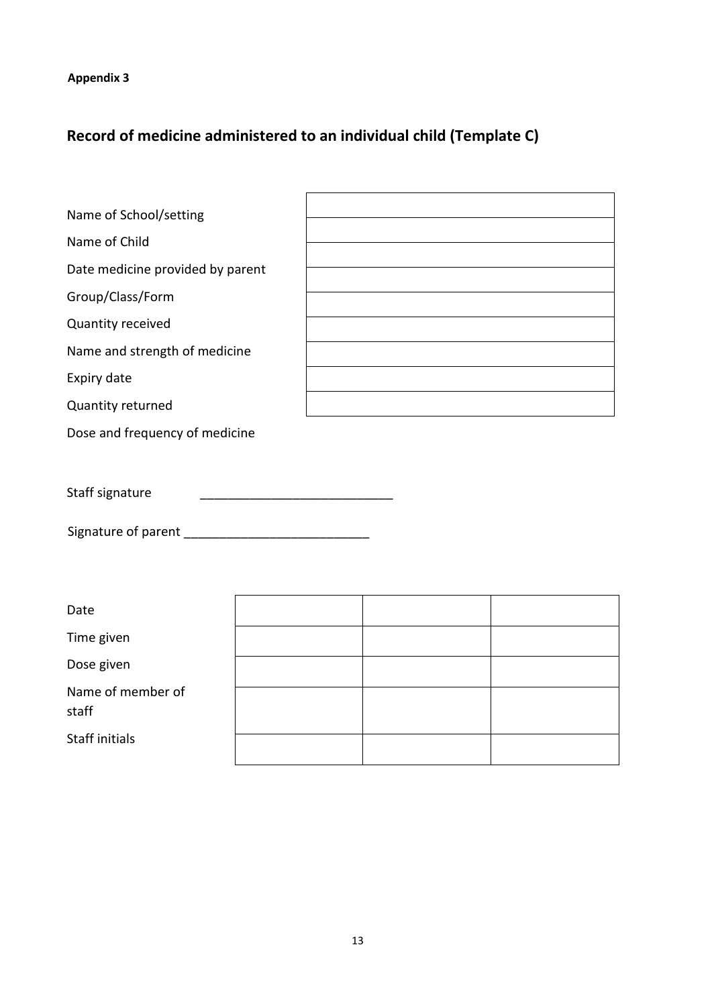## **Appendix 3**

## <span id="page-12-0"></span>**Record of medicine administered to an individual child (Template C)**

| Name of School/setting           |  |  |  |
|----------------------------------|--|--|--|
| Name of Child                    |  |  |  |
| Date medicine provided by parent |  |  |  |
| Group/Class/Form                 |  |  |  |
| Quantity received                |  |  |  |
| Name and strength of medicine    |  |  |  |
| Expiry date                      |  |  |  |
| Quantity returned                |  |  |  |
| Dose and frequency of medicine   |  |  |  |
|                                  |  |  |  |
| Staff signature                  |  |  |  |
|                                  |  |  |  |
| Date                             |  |  |  |
| Time given                       |  |  |  |
| Dose given                       |  |  |  |
| Name of member of<br>staff       |  |  |  |
| <b>Staff initials</b>            |  |  |  |